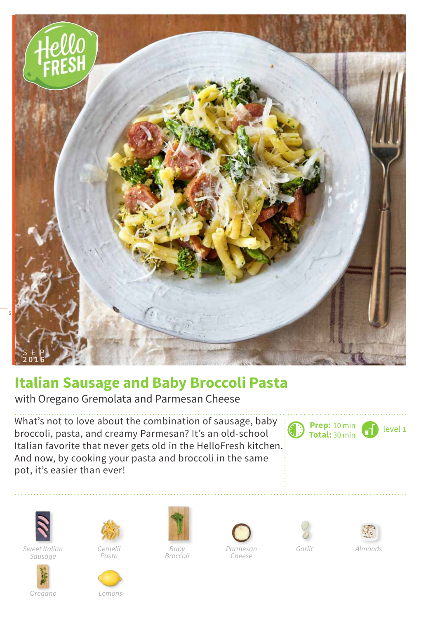

## **Italian Sausage and Baby Broccoli Pasta**

with Oregano Gremolata and Parmesan Cheese

What's not to love about the combination of sausage, baby broccoli, pasta, and creamy Parmesan? It's an old-school Italian favorite that never gets old in the HelloFresh kitchen. And now, by cooking your pasta and broccoli in the same pot, it's easier than ever!

**Prep:**  10 min **Total:** 30 min  $\blacksquare$  level 1





*Gemelli Pasta*





*Broccoli*



*Almonds*

*Oregano Lemons*





*Cheese*